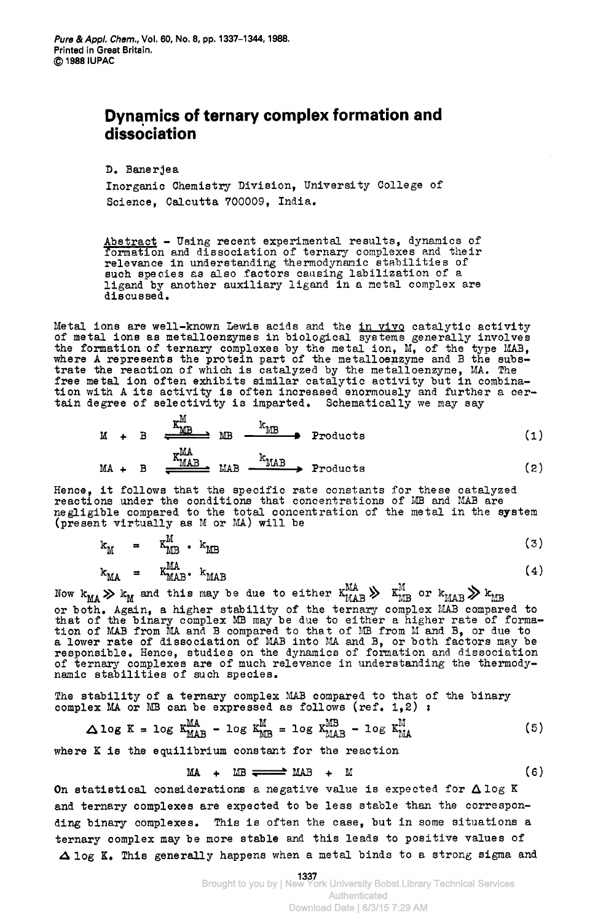## **Dynamics of ternary complex formation and dissociation**  <sub>pp. 1337–1344, 1988.</sub><br>ternary complex formation and

D. Banerjea

Inorganic Chemistry Division, University College of Science, Calcutta 700009, India.

Abstract - Using recent experimental results, dynamics of formation and dissociation of ternary complexes and their relevance in understanding thermodynamic stabilities of such species **aa** also factors causing labilization of a ligand by another auxiliary ligand in a metal complex are discussed.

Metal ions are well-known Lewis acids and the in vivq catalytic activity of metal ions as metalloenzymes in biological systems generally involves relevance in understanding thermodynamic stabilities of<br>such species as also factors causing labilization of a<br>ligand by another auxiliary ligand in a metal complex are<br>discussed.<br>Metal ions are well-known Lewis acids and the formation of ternary complexes by the metal ion, M, of the type MAB, where A represents the protein part of the metalloenzyme and B the subs-Itgand by another auxiliary ligand in a metal complex are<br>discussed.<br>Metal ions are well-known Lewis acids and the <u>in vivo</u> catalytic activity<br>of metal ions as metalloenzymes in biological systems generally involves<br>the f trate the reaction of which is catalyzed by the metalloenzyme, MA. The free metal ion often exhibits similar catalytic activity but in combination with A its activity **is** often increased enormously and further a certain degree of selectivity 13 imparted. Schematically we may say

the reaction of which is catalyzed by the metalloenzyme, MA. The  
\ntal ion often exhibits similar catalytic activity but in combina-  
\nth A its activity is often increased enormously and further a cer-  
\ngree of selectivity is imparted. Schematically we may say  
\n
$$
M + B = \frac{K_{MB}^M}{\sqrt{M_{NN}}} = \frac{K_{MB}}{M} = \frac{1}{2} \cdot \frac{1}{2} \cdot \frac{1}{2} \cdot \frac{1}{2} \cdot \frac{1}{2} \cdot \frac{1}{2} \cdot \frac{1}{2} \cdot \frac{1}{2} \cdot \frac{1}{2} \cdot \frac{1}{2} \cdot \frac{1}{2} \cdot \frac{1}{2} \cdot \frac{1}{2} \cdot \frac{1}{2} \cdot \frac{1}{2} \cdot \frac{1}{2} \cdot \frac{1}{2} \cdot \frac{1}{2} \cdot \frac{1}{2} \cdot \frac{1}{2} \cdot \frac{1}{2} \cdot \frac{1}{2} \cdot \frac{1}{2} \cdot \frac{1}{2} \cdot \frac{1}{2} \cdot \frac{1}{2} \cdot \frac{1}{2} \cdot \frac{1}{2} \cdot \frac{1}{2} \cdot \frac{1}{2} \cdot \frac{1}{2} \cdot \frac{1}{2} \cdot \frac{1}{2} \cdot \frac{1}{2} \cdot \frac{1}{2} \cdot \frac{1}{2} \cdot \frac{1}{2} \cdot \frac{1}{2} \cdot \frac{1}{2} \cdot \frac{1}{2} \cdot \frac{1}{2} \cdot \frac{1}{2} \cdot \frac{1}{2} \cdot \frac{1}{2} \cdot \frac{1}{2} \cdot \frac{1}{2} \cdot \frac{1}{2} \cdot \frac{1}{2} \cdot \frac{1}{2} \cdot \frac{1}{2} \cdot \frac{1}{2} \cdot \frac{1}{2} \cdot \frac{1}{2} \cdot \frac{1}{2} \cdot \frac{1}{2} \cdot \frac{1}{2} \cdot \frac{1}{2} \cdot \frac{1}{2} \cdot \frac{1}{2} \cdot \frac{1}{2} \cdot \frac{1}{2} \cdot \frac{1}{2} \cdot \frac{1}{2} \cdot \frac{1}{2} \cdot \frac{1}{2} \cdot \frac{1}{2} \cdot \frac{1}{2} \cdot \frac{1}{2} \cdot \frac{1}{2} \cdot \frac{1}{2} \cdot \frac{1}{2} \cdot \frac{1}{2} \cdot \frac{1}{2
$$

$$
MA + B \xrightarrow{\text{K}_{\text{MAB}}} \text{MAB} \xrightarrow{\text{K}_{\text{MAB}}} \text{Products} \qquad (2)
$$

Hence, it follows that the specific rate constants for these catalyzed reactions under the conditions that concentrations of MB and MAB are negligible compared to the total concentration of the metal in the system (present virtually as M or MA) will be  $M + B = \frac{M \times M}{M \times M}$   $\frac{K_{MAB}}{M \times M}$   $\frac{K_{MAB}}{M \times M}$   $\frac{K_{MAB}}{M \times M}$   $\frac{K_{MAB}}{M \times M}$   $\frac{K_{MAB}}{M \times M}$   $\frac{K_{MAB}}{M \times M}$   $\frac{K_{MAB}}{M \times M}$   $\frac{K_{MAB}}{M \times M}$   $\frac{K_{MAB}}{M \times M}$   $\frac{K_{MAB}}{M \times M}$   $\frac{K_{MAB}}{M \times M}$   $\frac{K_{MAB}}{M \times M$ 

$$
c_{\rm M} = K_{\rm MB}^{\rm m} \cdot k_{\rm MB}
$$
 (3)

$$
k_{\text{MA}} = k_{\text{MAB}}^{\text{MA}} \cdot k_{\text{MAB}}
$$
 (4)

Now  $k_{MA} > k_M$  and this may be due to either  $K_{MAB}^{MA} > K_{MB}^{M}$  or  $k_{MAB} > k_{MB}$ or both. Again, a higher stability of the ternary complex MAB compared to that of the binary complex MB may be due to either a higher rate of formation of MAB from MA and B compared to that of MB from M and B, or due to a lower rate of dissociation of MAB into MA and B, or both factors may be responsible. Hence, studies on the dynamics of formation and dissociation of ternary complexes are of much relevance in understanding the thermodynamic stabilities of such species.

The stability of a ternary complex **MAB** compared to that of the binary complex MA or ID can be expressed as follows (ref. **1,2)** :

$$
\Delta \log K = \log K_{\text{MAB}}^{\text{MA}} - \log K_{\text{MB}}^{\text{M}} = \log K_{\text{MAB}}^{\text{MB}} - \log K_{\text{MA}}^{\text{M}}
$$
 (5)

where K **is** the equilibrium constant for the reaction

$$
MA + MB \xrightarrow{MB} MAB + M
$$
 (6)

On statistical considerations a negative value is expected for  $\triangle$  log K and ternary complexes are expected to be less stable than the corresponding binary complexes. This is often the case, but in some situations a ternary complex may be more stable and this leads to positive values of Alog **K.** This generally happens when a metal binds to a strong sigma and

> **1337**  Brought to you by | New York University Bobst Library Technical Services Authenticated Download Date | 6/3/15 7:29 AM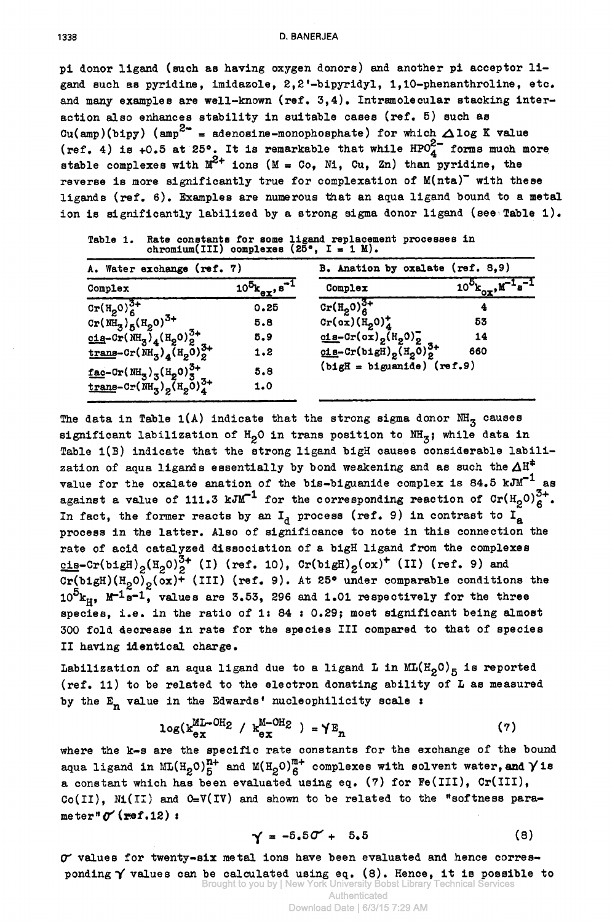pi donor ligand (such as having oxygen donors) and another pi acceptor ligand such as pyridine, imidazole, 2,2'-bipyridyl, 1,10-phenanthroline, etc. and many examples are well-known (ref. 3,4). Intramolecular stacking interaction also enhances stability in suitable cases (ref. 5) such as Cu(amp)(bipy) (amp<sup>2-</sup> = adenosine-monophosphate) for which  $\triangle$ log K value (ref. 4) is +0.5 at 25°. It is remarkable that while  $HPO_{\textbf{A}}^{\textbf{2}-}$  forms much more stable complexes with  $M^{2+}$  ions (M = Co, Ni, Cu, Zn) than pyridine, the reverse is more significantly true for complexation of M(nta)" with these ligands (ref. 6). Examples are numerous that an aqua ligand bound to a metal ion is significantly labilized by a strong sigma donor ligand (see Table 1).

B. Anation by oxalate (ref. 8,9) A. Water exchange (ref. 7)  $10^{5}$  $k_{ex}$ ,  $s^{-1}$  $10^{5}$  $k_{0x}$ ,  $M^{-1}s^{-1}$ Complex Complex  $\frac{1}{\text{Cr}(H_2^0)^{3+1}}$  $Cr(H_2O)_6^{3+}$  $0.25$  $\text{Cr}(\tilde{\text{NH}}_3)_{5}^{\check{}}(\text{H}_2 0)^{3+}$  $Cr(\alpha x)(H_00)^+$ 53  $5.8$  $\frac{\text{cis}-\text{Cr}(\text{ox})}{\text{cis}-\text{Cr}(\text{big})_2(\text{H}_2\text{O})_2^3}$  $\frac{c1}{2} - Cr(\overline{M}H_3)_{4} (H_2 0)^{3+}_{2}$ 14  $5.9$  $\frac{\text{trang-cr(MH}_3)}{4}$  (H<sub>2</sub>0)<sup>3+</sup>  $1.2$ 660  $(bigH = biguandde)$  (ref.9)  $\frac{\text{fac--Cr(MH}_3)}{\text{trans--Cr(MH}_3)}$ <sub>2</sub>(H<sub>2</sub>O)<sup>3+</sup><br>trans-Cr(NH<sub>3</sub>)<sub>2</sub>(H<sub>2</sub>O)<sup>3+</sup> 5.8  $1.0$ 

Rate constants for some ligand replacement processes in chromium(III) complexes (25°, I = 1 M). Table 1.

The data in Table 1(A) indicate that the strong sigma donor  $\text{NH}_3$  causes significant labilization of  $H_0$ 0 in trans position to NH<sub>z</sub>; while data in Table 1(B) indicate that the strong ligand bigH causes considerable labilization of aqua ligands essentially by bond weakening and as such the  $\Delta H^{\ddagger}$ value for the oxalate anation of the bis-biguanide complex is 84.5  $kJM^{-1}$  as against a value of 111.3 kJM<sup>-1</sup> for the corresponding reaction of  $\text{Cr}(H_2O)_6^{3+}$ . In fact, the former reacts by an  $I_A$  process (ref. 9) in contrast to  $I_A^{\sigma}$ process in the latter. Also of significance to note in this connection the rate of acid catalyzed dissociation of a bigH ligand from the complexes  $\underbrace{\text{cis}}$ -Cr(bigH)<sub>2</sub>(H<sub>2</sub>O)<sup>3+</sup> (I) (ref. 10), Cr(bigH)<sub>2</sub>(ox)<sup>+</sup> (II) (ref. 9) and<br>Cr(bigH)(H<sub>2</sub>O)<sub>2</sub>(ox)<sup>+</sup> (III) (ref. 9). At 25° under comparable conditions the  $10^5$ <sup>k</sup><sub>H</sub>, M<sup>-1</sup>s<sup>-1</sup>, values are 3.53, 296 and 1.01 respectively for the three species, i.e. in the ratio of 1: 84: 0.29; most significant being almost 300 fold decrease in rate for the species III compared to that of species II having identical charge.

Labilization of an aqua ligand due to a ligand L in  $ML(H_{0}O)_{5}$  is reported (ref. 11) to be related to the electron donating ability of L as measured by the  $E_n$  value in the Edwards' nucleophilicity scale :

$$
\log(\mathbf{k}_{\text{ex}}^{\text{ML}-\text{OR}} \ / \ \mathbf{k}_{\text{ex}}^{\text{M}-\text{OR}}) = \gamma \mathbb{E}_{n} \tag{7}
$$

where the k-s are the specific rate constants for the exchange of the bound aqua ligand in  $ML(H_2O)_5^{n+}$  and  $M(H_2O)_6^{m+}$  complexes with solvent water, and  $\gamma$  is a constant which has been evaluated using eq. (7) for Fe(III), Cr(III),  $Co(III)$ , N1(II) and  $O=V(IV)$  and shown to be related to the "softness parameter" $\sigma$  (ref.12):

$$
\gamma = -5.50' + 5.5 \tag{8}
$$

 $\sigma$  values for twenty-six metal ions have been evaluated and hence corresponding  $\gamma$  values can be calculated using eq. (8). Hence, it is possible to Brought to you by | New York University Bobst Library Technical I

> Authenticated Download Date | 6/3/15 7:29 AM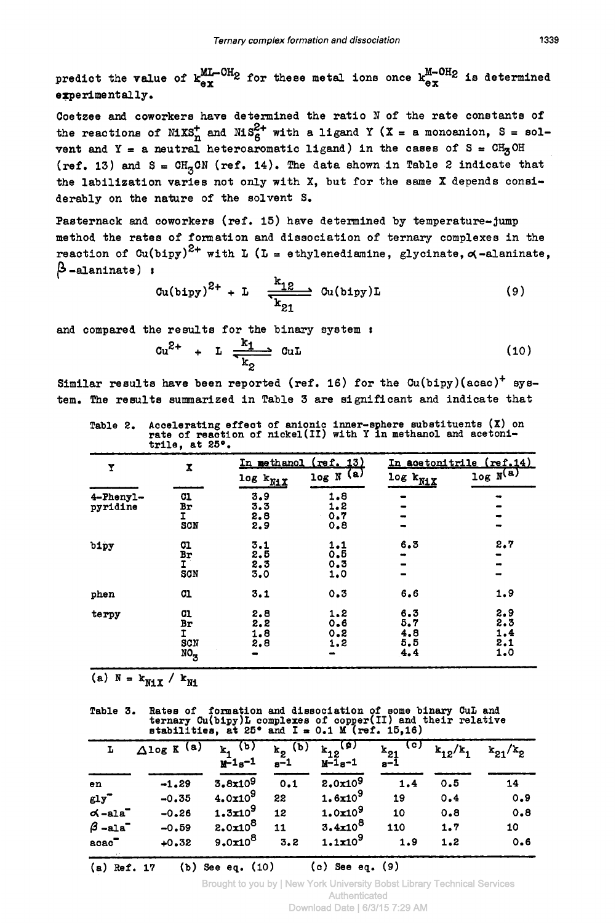predict the value of  $k_{ex}^{ML-OH_2}$  for these metal ions once  $k_{ex}^{M-OH_2}$  is determined<br>experimentally. experimentally.

Ternary complex formation and dissociation 1339<br> **ordict** the value of  $k_{ex}^{ML-OH2}$  for these metal ions once  $k_{ex}^{M-OH2}$  is determined<br>
Coetzee and coworkers have determined the ratio N of the rate constants of<br>
the rea predict the value of  $k_{ex}^{ML-OH}$  for these metal ions once  $k_{ex}^{M-OH}$  is determined<br>sperimentally.<br>Coetzee and coworkers have determined the ratio N of the rate constants of<br>the reactions of NiXS<sub>I</sub> and NiS<sub>6</sub><sup>2</sup> with a vent and  $Y = a$  neutral heteroaromatic ligand) in the cases of  $S = CH<sub>2</sub>OH$  $(ref. 13)$  and  $S = CH_2CN (ref. 14)$ . The data shown in Table 2 indicate that the labilization varies not only with **X,** but for the same **X** depends considerably on the nature of the solvent **S.** 

Pasternack and coworkers (ref. 15) have determined by temperature- jump method the rates of formation and dissociation of ternary complexes in the reaction of Cu(bipy)<sup>2+</sup> with L (L = ethylenediamine,<br> $\beta$ -alaninate) ;  $\beta$  -alaninate) ' Cu(bipy)L **zyxwvutsrqponmlkjihgfedcbaZYXWVUTSRQPONMLKJIHGFEDCBA** glycinate, 4-alaninate,

$$
\text{Cu(bipy)}^{2+} + \text{L} \quad \frac{k_{12}}{k_{21}} \quad \text{Cu(bipy)} \text{L} \tag{9}
$$

and compared the results for the binary system :  
\n
$$
Cu^{2+} + L \xrightarrow[k_2]{k_1} CuL
$$
\n(10)

Similar results have been reported (ref. 16) for the Cu(bipy)(acac)+ system. The results summarized in Table 3 are significant and indicate that

|                       |                                             |                                                                                                                                     |                              |                                  | The results summarized in table 5 are significant and indicate that |
|-----------------------|---------------------------------------------|-------------------------------------------------------------------------------------------------------------------------------------|------------------------------|----------------------------------|---------------------------------------------------------------------|
| Table 2.              | trile, at $25^\circ$ .                      | Accelerating effect of anionic inner-sphere substituents $(X)$ on<br>rate of reaction of nickel(II) with Y in methanol and acetoni- |                              |                                  |                                                                     |
| Y                     | x                                           |                                                                                                                                     | <u>In methanol (ref. 13)</u> |                                  | In acetonitrile (ref.14)                                            |
|                       |                                             | log k <sub>NiX</sub>                                                                                                                | $log N$ (a)                  | $\log k_{N1X}$                   | log N <sup>(a)</sup>                                                |
| 4-Phenyl-<br>pyridine | <b>C1</b><br>Br<br>I.<br>scn                | 3.9<br>3.3<br>2.8<br>2.9                                                                                                            | 1.8<br>1, 2<br>0.7<br>0.8    |                                  |                                                                     |
| bipy                  | 01<br>Br<br>Ĩ.<br>SCN                       | 3.1<br>2.5<br>2.3<br>3.0                                                                                                            | 1.1<br>0.5<br>0.3<br>1.0     | 6.3                              | 2, 7                                                                |
| phen                  | <b>C1</b>                                   | 3.1                                                                                                                                 | 0.3                          | 6.6                              | 1.9                                                                 |
| terpy                 | 01<br>Br<br>I.<br>SCN<br>$NO_{\mathcal{B}}$ | 2.8<br>2.2<br>1.8<br>2.8                                                                                                            | 1.2<br>0.6<br>0.8<br>1.2     | 6.3<br>5, 7<br>4.8<br>5.5<br>4.4 | 2.9<br>2.3<br>1.4<br>2.1<br>1.0                                     |

**Table** 2. **Accelerating effect of anionic inner-sphere eubstituents (X) on rate of reaction of nickel(I1) with Y in methanol and acetoni**trile, at 25°.

**fable** 3. **Ratee** of **fcnaation and dissociation of some binary CuL and ternary Cu(bipy)L complexes of copper(II) and their relative stabilities, at 25<sup>o</sup> and I = 0.1 <b>M** (ref. 15,16)

|                                        | (a) $N = k_{N1X} / k_{N1}$                                                                                                                                                     |                                                  |                                  |                                         |                                               |              |                |
|----------------------------------------|--------------------------------------------------------------------------------------------------------------------------------------------------------------------------------|--------------------------------------------------|----------------------------------|-----------------------------------------|-----------------------------------------------|--------------|----------------|
| Table 3.                               | Rates of formation and dissociation of some binary CuL and<br>ternary $Cu(bipy)L$ complexes of copper(II) and their relative<br>stabilities, at 25° and I = 0.1 M (ref. 15,16) |                                                  |                                  |                                         |                                               |              |                |
| L                                      | $\Delta$ log K (a)                                                                                                                                                             | <u>(p)</u><br>$\mathbf{k}_{1}$<br>$M^{-1}s^{-1}$ | $k_2$ <sup>(b)</sup><br>$e^{-1}$ | $k_{12}$ <sup>(a)</sup><br>$M - 1e - 1$ | $\overline{\text{c}}$<br>$\frac{k_{21}}{s-1}$ | $k_{12}/k_1$ | $k_{21}/k_{2}$ |
| en                                     | $-1.29$                                                                                                                                                                        | 3.8x10 <sup>9</sup>                              | 0.1                              | 2.0x10 <sup>9</sup>                     | 1.4                                           | 0.5          | 14             |
| $g1y$ <sup>-</sup>                     | $-0.35$                                                                                                                                                                        | $4.0x10^9$                                       | 22                               | $1.6x10^9$                              | 19                                            | 0.4          | 0.9            |
| $\alpha$ -ala $\overline{\phantom{a}}$ | $-0.26$                                                                                                                                                                        | $1.3x10^9$                                       | 12                               | 1.0x10 <sup>9</sup>                     | 10                                            | 0.8          | 0.8            |
| $\beta$ -ala <sup>-</sup>              | $-0.59$                                                                                                                                                                        | $2.0x10^8$                                       | 11                               | $3.4x10^8$                              | 110                                           | 1.7          | 10             |
| $\texttt{acc}$                         | $+0.32$                                                                                                                                                                        | $9.0x10^8$                                       | 3.2                              | $1.1x10^9$                              | 1.9                                           | 1.2          | 0.6            |

**(a) Ref.** 17 **(b) See eq.** (10) **(c) See eq.** (9)

Brought to you by | New York University Bobst Library Technical Services Authenticated

Download Date | 6/3/15 7:29 AM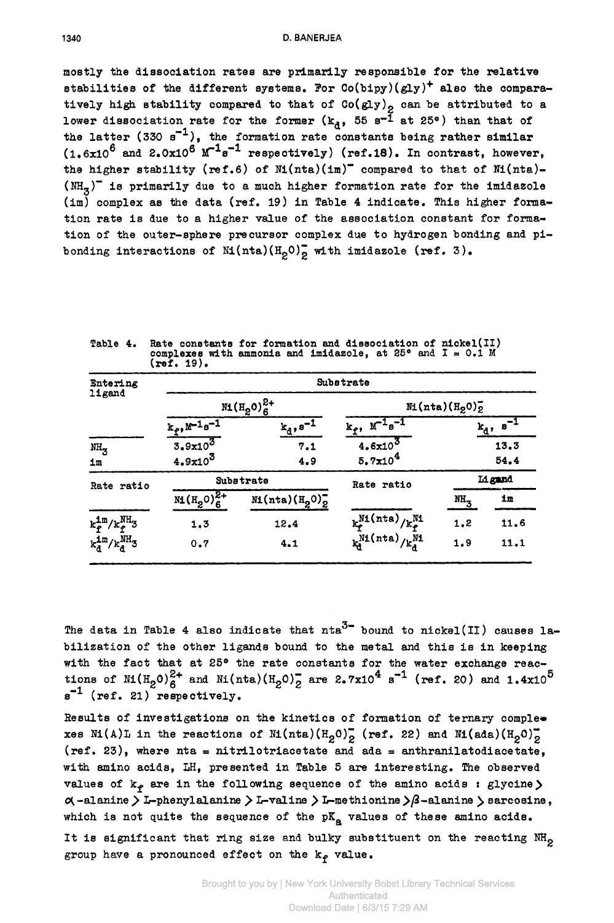mostly the dissociation rates are primarily responsible for the relative stabilities of the different systems. For Co(bipy) **(gly)'** also the comparatively high stability compared to that of  $Co(gly)_{\rho}$  can be attributed to a D. BANERJEA<br>mostly the dissociation rates are primarily responsible for the relative<br>stabilities of the different systems. For  $Co(bipy)(gly)^+$  also the compara-<br>tively high stability compared to that of  $Co(gly)_2$  can be attribut the latter (330 **s-'),** the formation rate constants being rather eimilar  $(1.6x10^6$  and  $2.0x10^6$   $M^{-1}s^{-1}$  respectively) (ref.18). In contrast, however, the higher stability (ref.6) of  $N_1(inta)(im)^-$  compared to that of  $N_1(inta)$ - $(MH<sub>z</sub>)$ <sup>-</sup> is primarily due to a much higher formation rate for the imidazole (im) complex as the data (ref. 19) in Table 4 indicate. This higher formathe latter (330 s<sup>-1</sup>), the formation rate constants being rather similar (1.6x10<sup>6</sup> and 2.0x10<sup>6</sup>  $M^{-1}s^{-1}$  respectively) (ref.18). In contrast, however, the higher stability (ref.6) of Ni(nta)(im)<sup>-</sup> compared to that of tion of the outer-sphere precursor complex due to hydrogen bonding and pibonding interactions of  $\text{Mi}(\text{nta})(\text{H}_{2}0)$  with imidazole (ref. 3).

**Table 4. Rate constants for formation and diesociation of nickel(I1) complexes with ammonia and alssociation of nickel(II)**<br>**complexes with ammonia and imidazole, at**  $25^{\circ}$  **and**  $1 = 0.1$  **M**<br>**(ref. 19). (ref. 19).** 

| Entering<br>ligand                  | <b>Substrate</b>            |                      |                                               |                    |                        |  |  |
|-------------------------------------|-----------------------------|----------------------|-----------------------------------------------|--------------------|------------------------|--|--|
|                                     | $ML(H_2O)_6^{2+}$           |                      | M(tata)(H <sub>2</sub> 0) <sub>2</sub>        |                    |                        |  |  |
|                                     | $k_f$ , $M^{-1}s^{-1}$      | $k_d$ , $s^{-1}$     | $k_f$ , $M^{-1} s^{-1}$                       |                    | $k_d$ , s <sup>-</sup> |  |  |
| $NH_{3}$                            | $3.9x10^3$                  | 7.1                  | $4.6x10^3$                                    |                    | 13.3                   |  |  |
| 1m                                  | $4.9x10^3$                  | 4.9                  | 5.7x10 <sup>4</sup>                           |                    | 54.4                   |  |  |
| Rate ratio                          | <b>Substrate</b>            |                      | Rate ratio                                    | Ligand             |                        |  |  |
|                                     | $M_{1}(H_{2}^{0})_{6}^{2+}$ | $M_1(nta)(H_20)_2^-$ |                                               | $M_{\overline{3}}$ | im                     |  |  |
| $k_f^{\text{1m}}/k_f^{\text{NH}}$ 3 | 1,3                         | 12.4                 | $k_{\rm P}^{\rm Ni(nta)}/k_{\rm P}^{\rm Ni}$  | 1,2                | 11.6                   |  |  |
| $k_d^{1m}/k_d^{NH}$ 3               | 0.7                         | 4.1                  | $k_d^{\text{N1}(\text{nta})}/k_d^{\text{N1}}$ | 1.9                | 11.1                   |  |  |

The data **in** Table **4** also indicate that nta3- bound to nickel(I1) causes labilization of the other ligands bound to the metal and this is in keeping with the fact that at 25° the rate constants for the water exchange reac $s^{-1}$  (ref. 21) respectively. tions of  $M(H_0)^{2+}$  and  $N(nta)(H_0)^{2}$  are  $2.7x10^{4}$  s<sup>-1</sup> (ref. 20) and 1.4x10<sup>5</sup>

Results of investigations on the kinetics of formation of ternary complexes Ni(A)L in the reactions of Ni(nta)(H<sub>2</sub>O)<sub>2</sub> (ref. 22) and Ni(ada)(H<sub>2</sub>O)<sub>2</sub> (ref. 23), where nta = nitrilotriacetate and ada = anthranilatodiacetate, with amino acids, LH, presented in Table **5** are interesting. The observed values of  $k_f$  are in the following sequence of the amino acids : glycine)  $\alpha$ -alanine > L-phenylalanine > L-valine > L-methionine >  $\beta$ -alanine > sarcosine, which is not quite the sequence of the  $pK_a$  values of these amino acids. It is significant that ring size and bulky substituent on the reacting NH<sub>2</sub> group have a pronounced effect on the  $k_f$  value.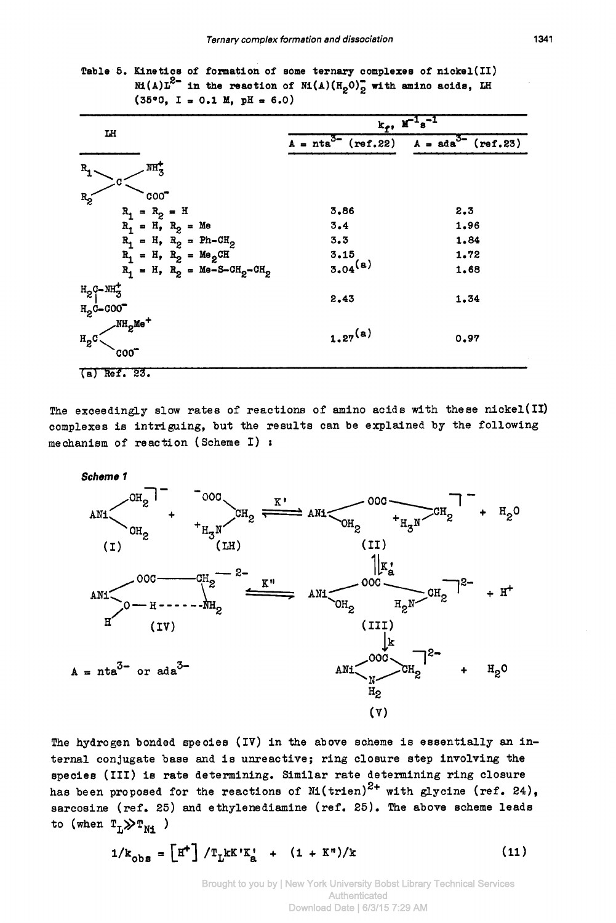Table 5. Kinetics of formation of some ternary complexes of nickel(II)  $N1(A)L^{2-}$  in the reaction of  $N1(A)(H_2O)_2$  with amino acids, LH  $(35\degree 0, 1 = 0.1 M, pH = 6.0)$ 

|                                                               | $k_f$ , $\mathbf{r}^{-1}$ $s^{-1}$ |                         |  |  |  |
|---------------------------------------------------------------|------------------------------------|-------------------------|--|--|--|
| LH                                                            | $A = nta^{3}$ (ref.22)             | $A = ada^{3-} (ref.23)$ |  |  |  |
| $\overline{\text{MH}}_{\overline{3}}$<br>R,                   |                                    |                         |  |  |  |
| c.                                                            |                                    |                         |  |  |  |
| $\circ$<br>$R_{2}$<br>$R_1 = R_2 = H$                         | 3,86                               | 2.3                     |  |  |  |
| $R_1 = H_1 R_2 = Me$                                          | 3.4                                | 1.96                    |  |  |  |
| $R_1 = H_1 R_2 = Ph-CH_2$                                     | 3.3                                | 1,84                    |  |  |  |
| $R_1 = H$ , $R_2 = Me_2CH$                                    | 3.15                               | 1.72                    |  |  |  |
| $R_1 = H$ , $R_2 = Me-S-CH_2-CH_2$                            | $3.04^{(a)}$                       | 1.68                    |  |  |  |
| $H_2C-NH_3^+$<br>$H_{2}$ 0-000 <sup>-</sup>                   | 2.43                               | 1.34                    |  |  |  |
| $\mathcal{N}\text{H}_{2}\text{Me}^+$<br>$H_2C$<br><b>COOT</b> | $1.27^{(a)}$                       | 0.97                    |  |  |  |
| $(a)$ Ref. 23.                                                |                                    |                         |  |  |  |

The exceedingly slow rates of reactions of amino acids with these nickel(II) complexes is intriguing, but the results can be explained by the following mechanism of reaction (Scheme I) :



The hydrogen bonded species (IV) in the above scheme is essentially an internal conjugate base and is unreactive; ring closure step involving the species (III) is rate determining. Similar rate determining ring closure has been proposed for the reactions of  $\text{M}(t$ rien)<sup>2+</sup> with glycine (ref. 24), sarcosine (ref. 25) and ethylenediamine (ref. 25). The above scheme leads to (when  $T_L \gg T_{N1}$ )

$$
1/k_{\text{obs}} = \left[\text{H}^+\right] / \text{T}_\text{L} \text{kK} \text{K}_\text{R}^+ + (1 + \text{K}^+)/\text{k} \tag{11}
$$

Brought to you by | New York University Bobst Library Technical Services Authenticated Download Date | 6/3/15 7:29 AM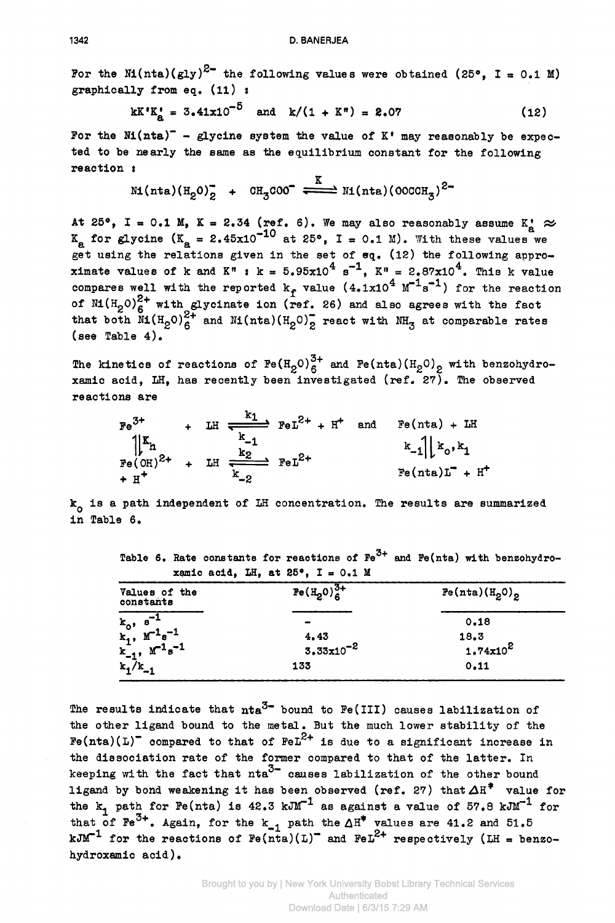For the Ni(nta)(gly)<sup>2-</sup> the following values were obtained (25°, I = 0.1 M)<br>graphically from eq. (11):<br>kK'K' = 3.41x10<sup>-5</sup> and k/(1 + K<sup>#</sup>) = 2.07 (12) graphically from eq. **(11)** *I*  $\frac{1}{25}$  *I ii* $\frac{1}{25}$  **<b>and k/(1 + K") = 2.07 (12) 2.07 (12) 2.07 2.07 2.07 2.07 2.07 2.07 2.07 2.07 2.07 2.07 2.07 2.07 2.07 2.07 2.07 2.07 2.07 2.07 2.07**

$$
kK'K'_a = 3.41x10^{-0} \text{ and } k/(1 + K'') = 2.07
$$
 (12)

For the  $Ni(nta)^-$  - glycine system the value of  $K'$  may reasonably be expected to be nearly the same as the equilibrium constant for the following reaction **<sup>t</sup>**

$$
\texttt{M}(\texttt{nta})(\texttt{H}_{2}0)_{2}^{-} + \texttt{OH}_{3} \texttt{COO}^{-} \xleftarrow{\texttt{K}} \texttt{M}(\texttt{nta})(\texttt{OOCCH}_{3})^{2}
$$

Mi(nta)(H<sub>2</sub>O)<sub>2</sub> + CH<sub>3</sub>COO<sup>-</sup>  $\frac{K}{2}$  Ni(nta)(OCCCH<sub>3</sub>)<sup>2-</sup><br>At 25°, I = 0.1 M, K = 2.34 (ref. 6). We may also reasonably assume  $K_a^* \approx$ <br> $K_a$  for glycine (K<sub>2</sub> = 2.45x10<sup>-10</sup> at 25°, I = 0.1 M). With these values we At 25°, I = 0.1 M, K = 2.34 (ref. 6). We may also reasonably assume  $K_{\underline{a}} \approx K_{\underline{a}}$  for glycine  $(K_{\underline{a}} = 2.45x10^{-10}$  at 25°, I = 0.1 M). With these values we get using the relations given in the set of eq. (12) the following appro-<br>ximate values of **k** and  $K^*$  **:**  $k = 5.95x10^4$  s<sup>-1</sup>,  $K^* = 2.87x10^4$ . This k value compares well with the reported  $k_f$  value  $(4.1x10^4 \text{ M}^{-1} \text{s}^{-1})$  for the reaction of  $\text{M}(H_2O)_6^{2+}$  with glycinate ion (ref. 26) and also agrees with the fact that both  $\text{M}(H_2O)_6^{2+}$  and  $\text{M}(nta)(H_2O)_2$  react with  $\text{NH}_3$  at comparable rates (see Table **4).**  compares well with the reported  $k_f$  value  $(4.1x10^{-3}M^{-5})$  for the reaction<br>of  $\text{NI}(H_2O)_6^{2+}$  with glycinate ion (ref. 26) and also agrees with the fact<br>that both  $\text{NI}(H_2O)_6^{2+}$  and  $\text{NI}(nta)(H_2O)_2$  react with  $\text{$  $4e^{-1}$   $\tau_{\text{H}} = 2.87 \times 10^{4}$ 

The kinetics of reactions of  $Fe(H_2O)_6^{3+}$  and  $Fe(nta)(H_2O)_2$  with benzohydro-<br>xamic acid, LH, has recently been investigated (ref. 27). The observed reactions are

| reachtome ate                                                                                                                                                                           |  |  |  |
|-----------------------------------------------------------------------------------------------------------------------------------------------------------------------------------------|--|--|--|
| LH $\stackrel{\kappa_1}{\longrightarrow}$ $\text{FeL}^{2+}$ + H <sup>+</sup> and Fe(nta) + LH<br>$\text{Fe(OH)}^{2+}$ + LH $\frac{2}{\sqrt{2}}$ $\text{FeL}^{2+}$<br>$Fe(nta)L^- + H^+$ |  |  |  |
| ${\tt k_o}$ is a path independent of LH concentration. The results are summarized<br>in Table 6.                                                                                        |  |  |  |

Table **6.** Rate constante **for** reactions **of Fe3+** and Fe(nta) with benzohydro $x$ amic acid. LH, at  $25^{\circ}$ . I =  $0.1$  M

| Values of the<br>constants                                                              | $Fe(H_2O)_6^{3+}$             | Fe(nta)(H <sub>2</sub> 0) <sub>2</sub> |
|-----------------------------------------------------------------------------------------|-------------------------------|----------------------------------------|
|                                                                                         |                               | 0.18                                   |
|                                                                                         |                               | 18.3                                   |
|                                                                                         | 4.43<br>3.33x10 <sup>-2</sup> | $1.74x10^2$                            |
| $k_0$ , $s^{-1}$<br>$k_1$ , $m^{-1}s^{-1}$<br>$k_{-1}$ , $m^{-1}s^{-1}$<br>$k_1/k_{-1}$ | 133                           | 0.11                                   |

The results indicate that  $nta^{3-}$  bound to Fe(III) causes labilization of the other ligand bound to the metal. But the much lower stability of the  $F$ e(nta)(L)<sup>-</sup> compared to that of  $F$ eL<sup>2+</sup> is due to a significant increase in the dissociation rate of the former compared to that of the latter. In keeping with the fact that  $nta^{3-}$  causes labilization of the other bound ligand by bond weakening it has been observed (ref. 27) that  $\Delta H^*$  value for the  $k_1$  path for Fe(nta) is  $42.3 \text{ kJM}^{-1}$  as against a value of 57.8  $\text{kJM}^{-1}$  for that of Fe<sup>2+</sup>. Again, for the  $k_{-1}$  path the  $\Delta H^*$  values are 41.2 and 51.5 kJM<sup>-1</sup> for the reactions of Fe(nta)(L)<sup>-</sup> and FeL<sup>2+</sup> respectively (LH = benzo-<br>hydroxamic acid).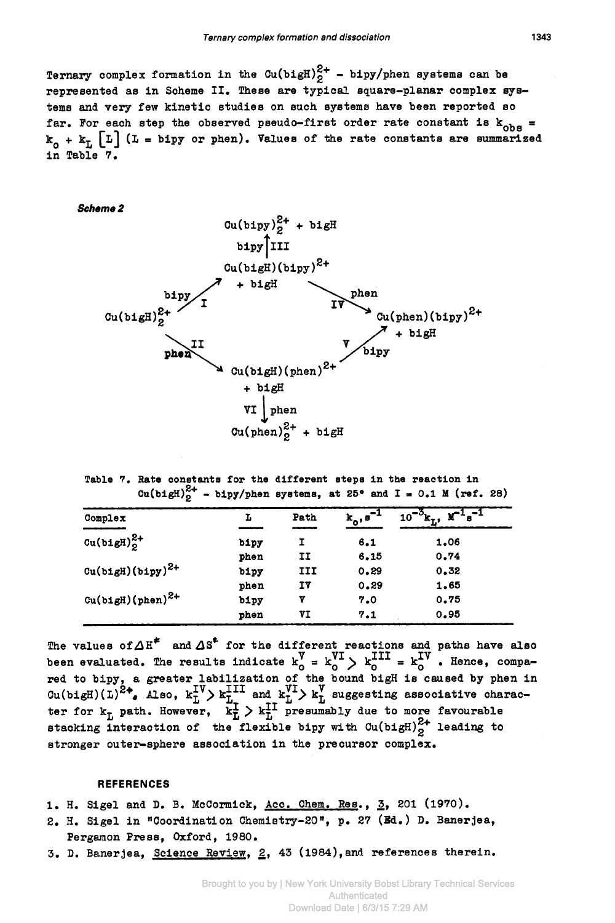Ternary complex formation and dissociation 1343<br>Ternary complex formation in the Cu(bigH) $\frac{2+}{2}$  - bipy/phen systems can be<br>represented as in Scheme II. These are typical square-planar complex sys-Ternary complex formation in the  $Cu(bi gH)_{2}^{2+}$  - bipy/phen systems can be represented as in Scheme II. These are typical square-planar complex systems and very few kinetic studies on such systems have been reported **so Ternary complex formation and dissociation** 1343<br> **Ternary complex formation in the Cu(bigH)** $_2^{2+}$  - bipy/phen systems can be<br>
represented as in Scheme II. These are typical square-planar complex sys-<br>
tems and very f far. For each step the observed pseudo-first order rate constant is  $k_{obs} = k_0 + k_L$  [L] (L = bipy or phen). Values of the rate constants are summarized in Table 7.



**Table 7. Rate constant8 for the different steps in the reaction In Cu(b1gH)** $_{2}^{2+}$  - **blpy/phen systems, at 25<sup>o</sup> and I** = 0.1 **M** (ref. 28)

| Complex                      | L    | Path | $k_0$ , $s^{-3}$ | $\textbf{M}^{-1}$ <sub>8</sub> $-1$<br>$10^{-3}$ $k_L$ , $\gamma$ |
|------------------------------|------|------|------------------|-------------------------------------------------------------------|
| $Cu(b1gH)22+$                | bipy | I    | 6.1              | 1.06                                                              |
|                              | phen | IJ   | 6.15             | 0.74                                                              |
| $\text{Cu(b1gH)(b1py)}^{2+}$ | bipy | III  | 0.29             | 0.32                                                              |
|                              | phen | ΙV   | 0.29             | 1.65                                                              |
| $Cu(b1gH)(phen)^{2+}$        | bipy | v    | 7.0              | 0.75                                                              |
|                              | phen | VI   | 7.1              | 0.95                                                              |

The values of  $\Delta H^*$  and  $\Delta S^*$  for the different reactions and paths have also been evaluated. The results indicate  $k_0^V = k_0^V$   $\rightarrow$   $k_0^{\text{II}} = k_0^{\text{IV}}$ . Hence, compared to bipy, a greater labilization of the bound bigH is caused by phen in Cu(bigH)(phen)<br>
The values of  $\Delta H^*$  and  $\Delta S^*$  for the different reactions and paths have also<br>
been evaluated. The results indicate  $k_0 = k_0^V$   $> k_0^{III} = k_0^V$ . Hence, compa-<br>
red to bipy, a greater labilization of th ter for  $k_{\overline{L}}$  path. However,  $\overline{k}_{\overline{L}}^{\mathbf{I}} > k_{\overline{L}}^{\mathbf{II}}$  presumably due to more favourable stacking interaction of the flexible bipy with  $Cu(bi)gH)_{p}^{c+}$  leading to stronger outer-sphere association in the precursor complex.  $V_{\text{I}}$   $V^{IV}$ 

## **REFERENCES**

- 1. H. Sigel and D. B. McCormlck, Acc. Chem. Res., **3, 201** (1970).
- 2. **3.** Sigel in "Coordination Chemistry-20", p. 27 **(M.)** D. Banerjea, Pergamon Press, Oxford, 1980.
- 3. D. Banerjea, Science Review, 2, 43 (1984), and references therein.